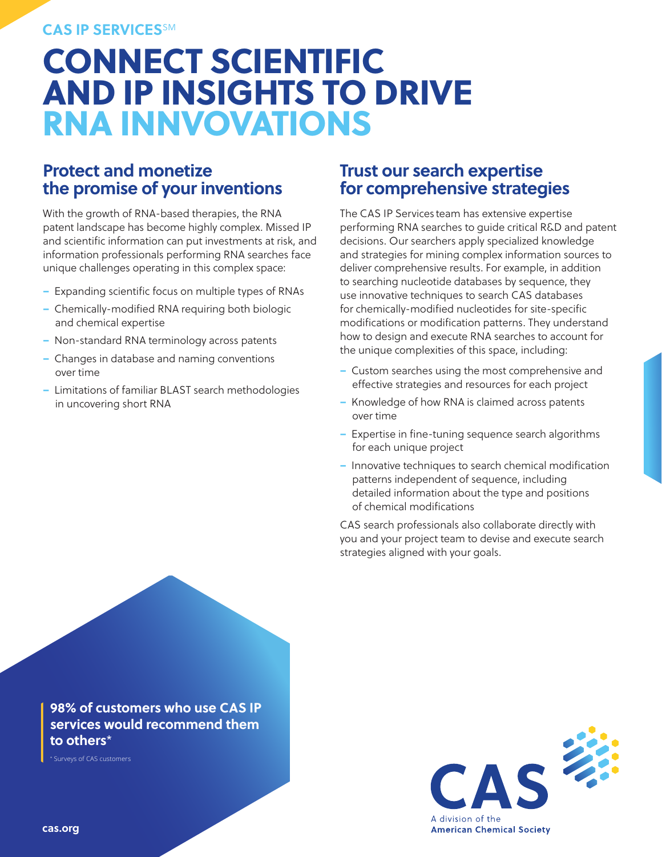#### **CAS IP SERVICES**SM

## CONNECT SCIENTIFIC AND IP INSIGHTS TO DRIVE RNA INNVOVATIONS

## **Protect and monetize the promise of your inventions**

With the growth of RNA-based therapies, the RNA patent landscape has become highly complex. Missed IP and scientific information can put investments at risk, and information professionals performing RNA searches face unique challenges operating in this complex space:

- Expanding scientific focus on multiple types of RNAs
- Chemically-modified RNA requiring both biologic and chemical expertise
- Non-standard RNA terminology across patents
- Changes in database and naming conventions over time
- Limitations of familiar BLAST search methodologies in uncovering short RNA

## **Trust our search expertise for comprehensive strategies**

The CAS IP Services team has extensive expertise performing RNA searches to guide critical R&D and patent decisions. Our searchers apply specialized knowledge and strategies for mining complex information sources to deliver comprehensive results. For example, in addition to searching nucleotide databases by sequence, they use innovative techniques to search CAS databases for chemically-modified nucleotides for site-specific modifications or modification patterns. They understand how to design and execute RNA searches to account for the unique complexities of this space, including:

- Custom searches using the most comprehensive and effective strategies and resources for each project
- Knowledge of how RNA is claimed across patents over time
- Expertise in fine-tuning sequence search algorithms for each unique project
- Innovative techniques to search chemical modification patterns independent of sequence, including detailed information about the type and positions of chemical modifications

CAS search professionals also collaborate directly with you and your project team to devise and execute search strategies aligned with your goals.

**98% of customers who use CAS IP services would recommend them to others**\*

\* Surveys of CAS customers